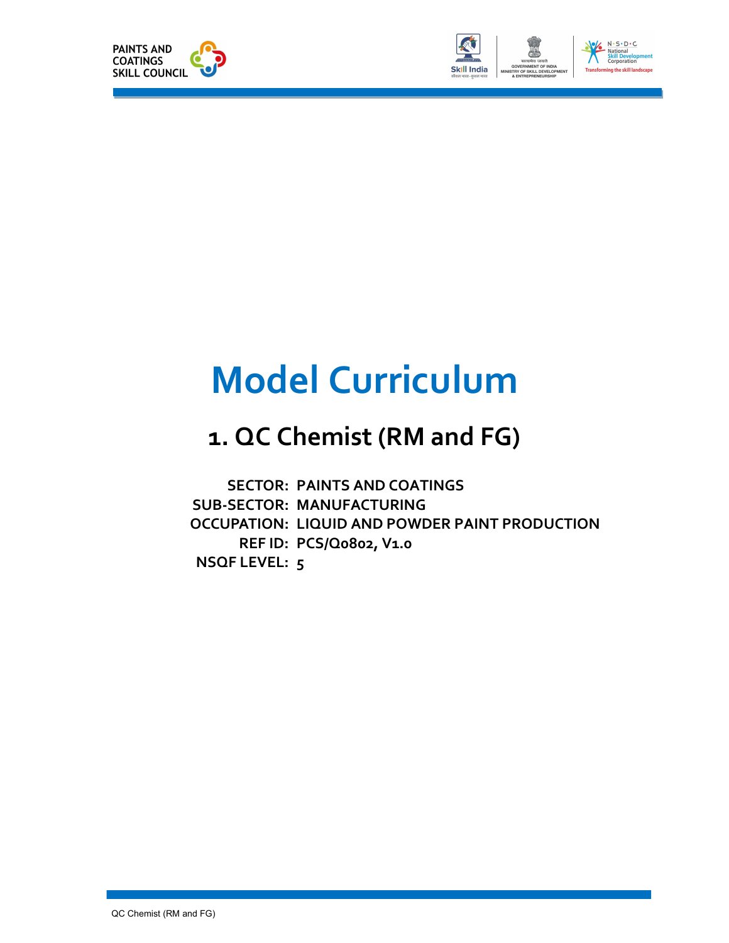



# Model Curriculum

## 1. QC Chemist (RM and FG)

SECTOR: PAINTS AND COATINGS<br>SUB-SECTOR: MANUFACTURING<br>OCCUPATION: LIQUID AND POWDER PAINT PRODUCTION SUB-SECTOR: MANUFACTURING REF ID: PCS/Q0802, V1.0 NSQF LEVEL: 5**SECTOR: PAINTS AND COATINGS**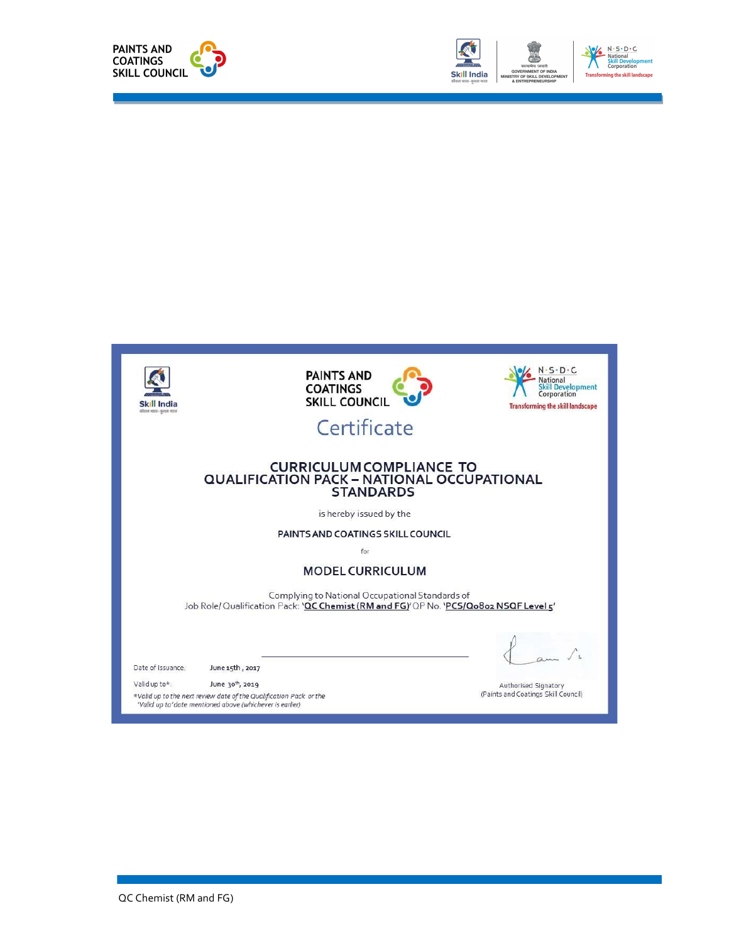



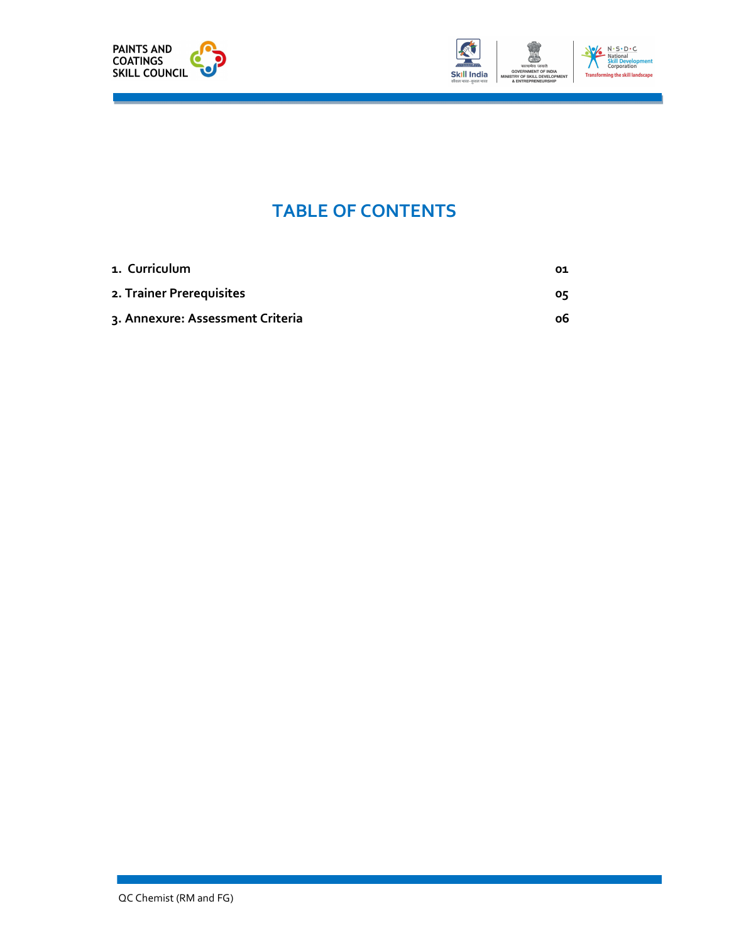



### TABLE OF CONTENTS

| 1. Curriculum                    | 01 |
|----------------------------------|----|
| 2. Trainer Prerequisites         | оқ |
| 3. Annexure: Assessment Criteria | ο6 |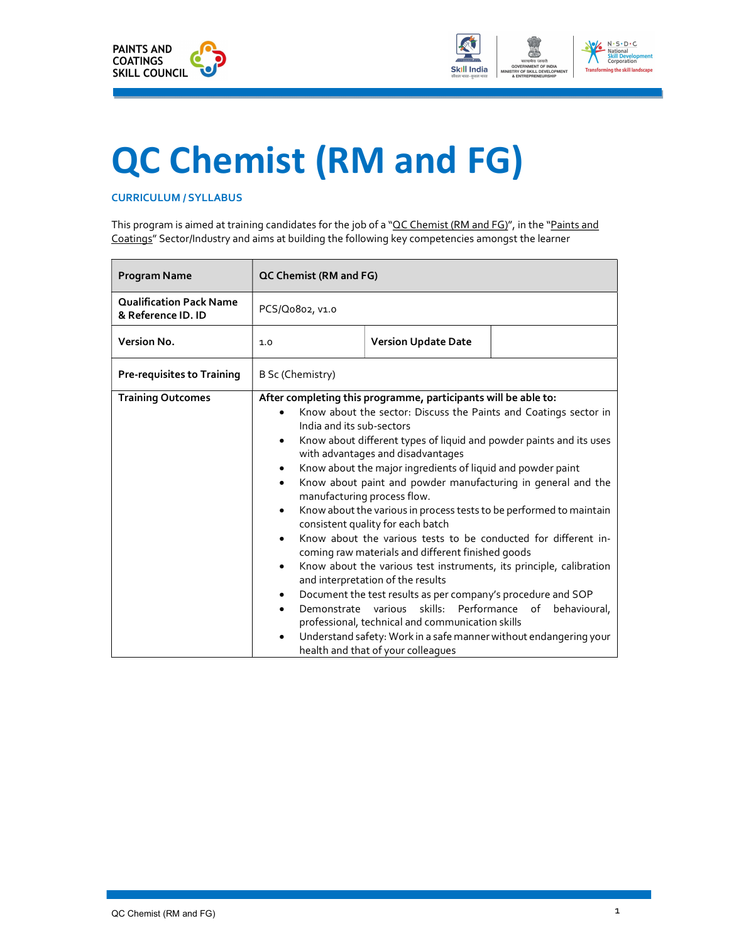



# QC Chemist (RM and FG)

#### CURRICULUM / SYLLABUS

This program is aimed at training candidates for the job of a "QC Chemist (RM and FG)", in the "Paints and Coatings" Sector/Industry and aims at building the following key competencies amongst the learner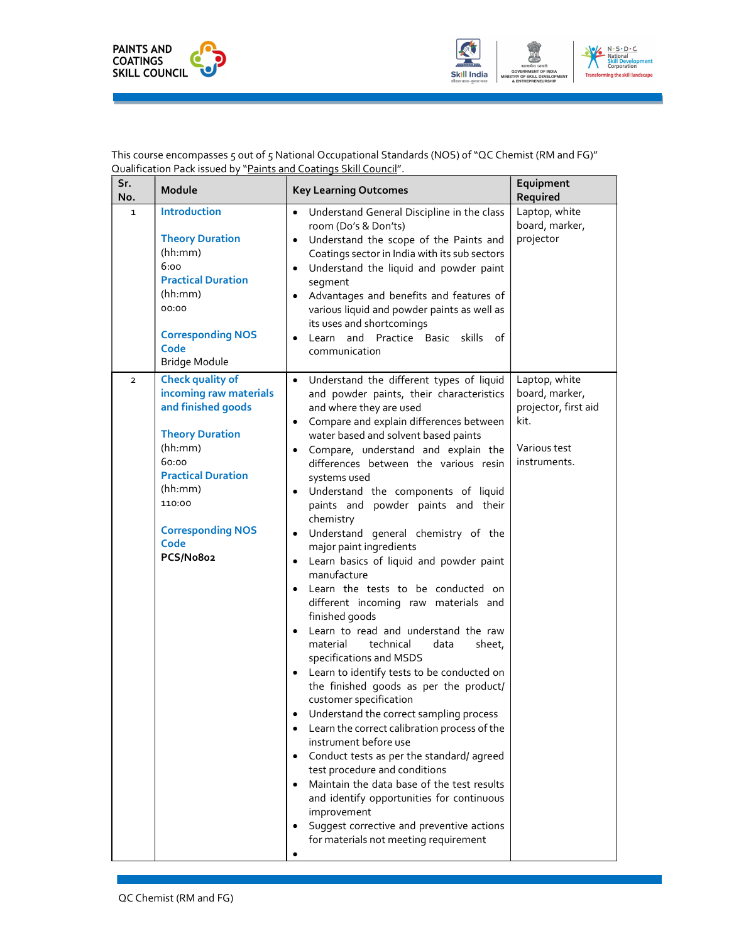



 This course encompasses 5 out of 5 National Occupational Standards (NOS) of "QC Chemist (RM and FG)" Qualification Pack issued by "Paints and Coatings Skill Council".

| Sr.<br>No.     | Module                                                                                                                                                                                                                   | <b>Key Learning Outcomes</b>                                                                                                                                                                                                                                                                                                                                                                                                                                                                                                                                                                                                                                                                                                                                                                                                                                                                                                                                                                                                                                                                                                                                                                                                                                                                         | Equipment<br>Required                                                                           |
|----------------|--------------------------------------------------------------------------------------------------------------------------------------------------------------------------------------------------------------------------|------------------------------------------------------------------------------------------------------------------------------------------------------------------------------------------------------------------------------------------------------------------------------------------------------------------------------------------------------------------------------------------------------------------------------------------------------------------------------------------------------------------------------------------------------------------------------------------------------------------------------------------------------------------------------------------------------------------------------------------------------------------------------------------------------------------------------------------------------------------------------------------------------------------------------------------------------------------------------------------------------------------------------------------------------------------------------------------------------------------------------------------------------------------------------------------------------------------------------------------------------------------------------------------------------|-------------------------------------------------------------------------------------------------|
| $\mathbf 1$    | <b>Introduction</b><br><b>Theory Duration</b><br>(hh:mm)<br>6:00<br><b>Practical Duration</b><br>(hh:mm)<br>00:00<br><b>Corresponding NOS</b><br>Code<br>Bridge Module                                                   | • Understand General Discipline in the class<br>room (Do's & Don'ts)<br>Understand the scope of the Paints and<br>$\bullet$<br>Coatings sector in India with its sub sectors<br>Understand the liquid and powder paint<br>٠<br>segment<br>Advantages and benefits and features of<br>various liquid and powder paints as well as<br>its uses and shortcomings<br>Learn and Practice Basic skills of<br>communication                                                                                                                                                                                                                                                                                                                                                                                                                                                                                                                                                                                                                                                                                                                                                                                                                                                                                 | Laptop, white<br>board, marker,<br>projector                                                    |
| $\overline{2}$ | <b>Check quality of</b><br>incoming raw materials<br>and finished goods<br><b>Theory Duration</b><br>(hh:mm)<br>60:00<br><b>Practical Duration</b><br>(hh:mm)<br>110:00<br><b>Corresponding NOS</b><br>Code<br>PCS/No8o2 | • Understand the different types of liquid<br>and powder paints, their characteristics<br>and where they are used<br>• Compare and explain differences between<br>water based and solvent based paints<br>Compare, understand and explain the<br>differences between the various resin<br>systems used<br>Understand the components of liquid<br>$\bullet$<br>paints and powder paints and their<br>chemistry<br>Understand general chemistry of the<br>major paint ingredients<br>Learn basics of liquid and powder paint<br>$\bullet$<br>manufacture<br>Learn the tests to be conducted on<br>different incoming raw materials and<br>finished goods<br>Learn to read and understand the raw<br>material<br>technical<br>data<br>sheet,<br>specifications and MSDS<br>Learn to identify tests to be conducted on<br>the finished goods as per the product/<br>customer specification<br>Understand the correct sampling process<br>Learn the correct calibration process of the<br>instrument before use<br>Conduct tests as per the standard/agreed<br>$\bullet$<br>test procedure and conditions<br>Maintain the data base of the test results<br>and identify opportunities for continuous<br>improvement<br>Suggest corrective and preventive actions<br>for materials not meeting requirement | Laptop, white<br>board, marker,<br>projector, first aid<br>kit.<br>Various test<br>instruments. |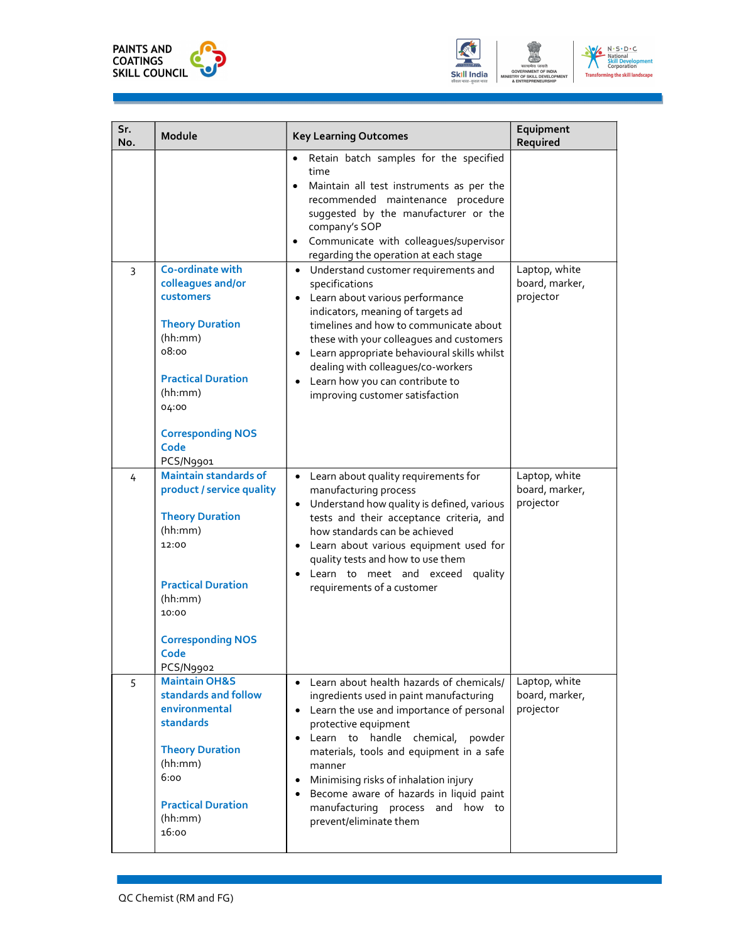





| Sr.<br>No. | Module                                                                                                                                                                                                    | <b>Key Learning Outcomes</b>                                                                                                                                                                                                                                                                                                                                                                                                                   | Equipment<br>Required                        |
|------------|-----------------------------------------------------------------------------------------------------------------------------------------------------------------------------------------------------------|------------------------------------------------------------------------------------------------------------------------------------------------------------------------------------------------------------------------------------------------------------------------------------------------------------------------------------------------------------------------------------------------------------------------------------------------|----------------------------------------------|
|            |                                                                                                                                                                                                           | Retain batch samples for the specified<br>$\bullet$<br>time<br>Maintain all test instruments as per the<br>$\bullet$<br>recommended maintenance procedure<br>suggested by the manufacturer or the<br>company's SOP<br>Communicate with colleagues/supervisor<br>$\bullet$<br>regarding the operation at each stage                                                                                                                             |                                              |
| 3          | Co-ordinate with<br>colleagues and/or<br>customers<br><b>Theory Duration</b><br>(hh:mm)<br>08:00<br><b>Practical Duration</b><br>(hh:mm)<br>04:00<br><b>Corresponding NOS</b><br>Code<br>PCS/N9901        | Understand customer requirements and<br>$\bullet$<br>specifications<br>Learn about various performance<br>indicators, meaning of targets ad<br>timelines and how to communicate about<br>these with your colleagues and customers<br>Learn appropriate behavioural skills whilst<br>٠<br>dealing with colleagues/co-workers<br>Learn how you can contribute to<br>$\bullet$<br>improving customer satisfaction                                 | Laptop, white<br>board, marker,<br>projector |
| 4          | <b>Maintain standards of</b><br>product / service quality<br><b>Theory Duration</b><br>(hh:mm)<br>12:00<br><b>Practical Duration</b><br>(hh:mm)<br>10:00<br><b>Corresponding NOS</b><br>Code<br>PCS/N9902 | • Learn about quality requirements for<br>manufacturing process<br>Understand how quality is defined, various<br>٠<br>tests and their acceptance criteria, and<br>how standards can be achieved<br>Learn about various equipment used for<br>٠<br>quality tests and how to use them<br>Learn to meet and exceed quality<br>requirements of a customer                                                                                          | Laptop, white<br>board, marker,<br>projector |
| 5          | <b>Maintain OH&amp;S</b><br>standards and follow<br>environmental<br>standards<br><b>Theory Duration</b><br>(hh:mm)<br>6:00<br><b>Practical Duration</b><br>(hh:mm)<br>16:00                              | • Learn about health hazards of chemicals/<br>ingredients used in paint manufacturing<br>• Learn the use and importance of personal<br>protective equipment<br>Learn to handle chemical, powder<br>$\bullet$<br>materials, tools and equipment in a safe<br>manner<br>Minimising risks of inhalation injury<br>$\bullet$<br>Become aware of hazards in liquid paint<br>$\bullet$<br>manufacturing process and how to<br>prevent/eliminate them | Laptop, white<br>board, marker,<br>projector |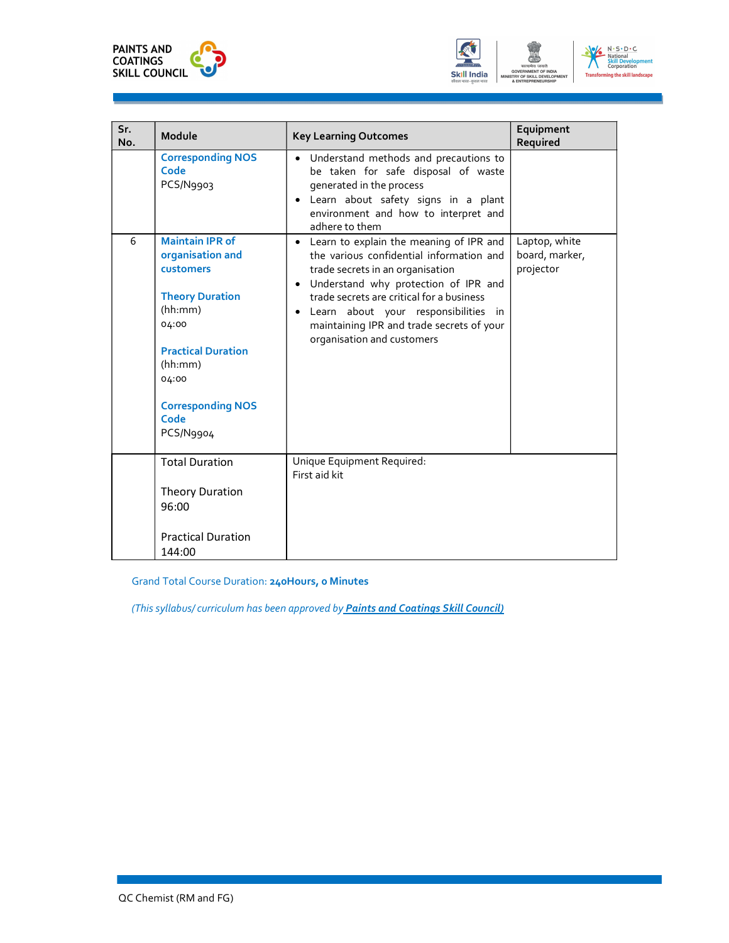





| Sr.<br>No. | Module                                                  | <b>Key Learning Outcomes</b>                                                                                                                                                                                             | Equipment<br>Required                        |
|------------|---------------------------------------------------------|--------------------------------------------------------------------------------------------------------------------------------------------------------------------------------------------------------------------------|----------------------------------------------|
|            | <b>Corresponding NOS</b><br>Code<br>PCS/N9903           | • Understand methods and precautions to<br>be taken for safe disposal of waste<br>generated in the process<br>Learn about safety signs in a plant<br>$\bullet$<br>environment and how to interpret and<br>adhere to them |                                              |
| 6          | <b>Maintain IPR of</b><br>organisation and<br>customers | Learn to explain the meaning of IPR and<br>the various confidential information and<br>trade secrets in an organisation<br>Understand why protection of IPR and<br>$\bullet$                                             | Laptop, white<br>board, marker,<br>projector |
|            | <b>Theory Duration</b><br>(hh:mm)<br>04:00              | trade secrets are critical for a business<br>Learn about your responsibilities in<br>$\bullet$<br>maintaining IPR and trade secrets of your<br>organisation and customers                                                |                                              |
|            | <b>Practical Duration</b><br>(hh:mm)<br>04:00           |                                                                                                                                                                                                                          |                                              |
|            | <b>Corresponding NOS</b><br>Code<br>PCS/N9904           |                                                                                                                                                                                                                          |                                              |
|            | <b>Total Duration</b>                                   | Unique Equipment Required:<br>First aid kit                                                                                                                                                                              |                                              |
|            | <b>Theory Duration</b><br>96:00                         |                                                                                                                                                                                                                          |                                              |
|            | <b>Practical Duration</b><br>144:00                     |                                                                                                                                                                                                                          |                                              |

Grand Total Course Duration: 240Hours, 0 Minutes

(This syllabus/ curriculum has been approved by Paints and Coatings Skill Council)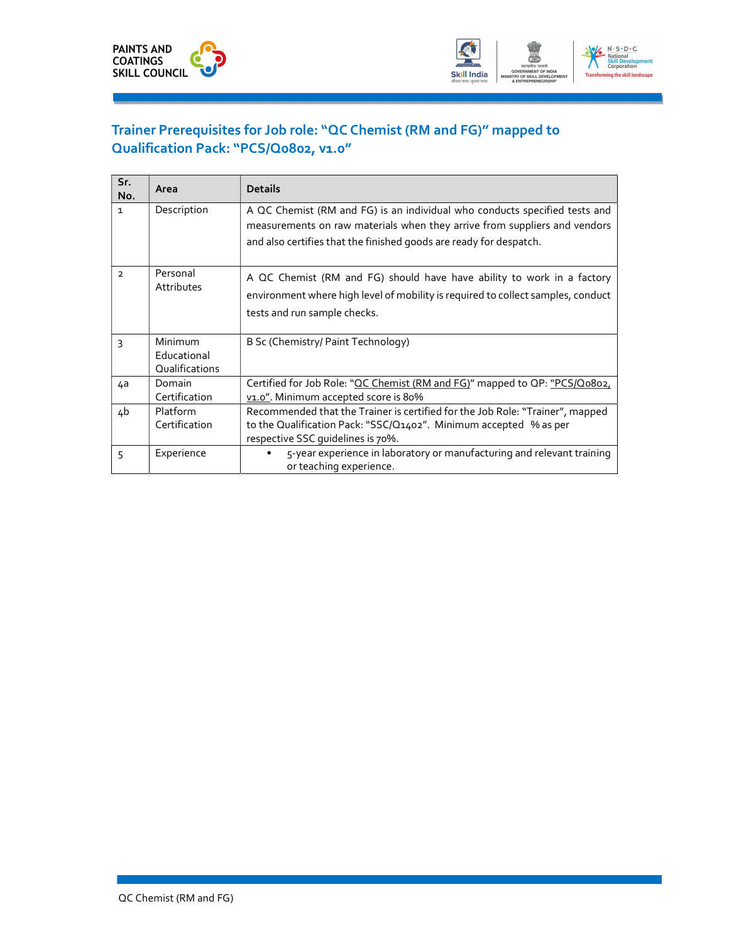

### Trainer Prerequisites for Job role: "QC Chemist (RM and FG)" mapped to Qualification Pack: "PCS/Q0802, v1.0"

| Sr.<br>No.     | Area                                     | <b>Details</b>                                                                                                                                                                                                                |
|----------------|------------------------------------------|-------------------------------------------------------------------------------------------------------------------------------------------------------------------------------------------------------------------------------|
| $\mathbf{1}$   | Description                              | A QC Chemist (RM and FG) is an individual who conducts specified tests and<br>measurements on raw materials when they arrive from suppliers and vendors<br>and also certifies that the finished goods are ready for despatch. |
| $\overline{2}$ | Personal<br>Attributes                   | A QC Chemist (RM and FG) should have have ability to work in a factory<br>environment where high level of mobility is required to collect samples, conduct<br>tests and run sample checks.                                    |
| 3              | Minimum<br>Educational<br>Qualifications | B Sc (Chemistry/ Paint Technology)                                                                                                                                                                                            |
| 4a             | Domain<br>Certification                  | Certified for Job Role: "OC Chemist (RM and FG)" mapped to OP: "PCS/Q0802,<br>v1.0". Minimum accepted score is 80%                                                                                                            |
| 4b             | Platform<br>Certification                | Recommended that the Trainer is certified for the Job Role: "Trainer", mapped<br>to the Qualification Pack: "SSC/Q1402". Minimum accepted % as per<br>respective SSC quidelines is 70%.                                       |
| 5              | Experience                               | 5-year experience in laboratory or manufacturing and relevant training<br>٠<br>or teaching experience.                                                                                                                        |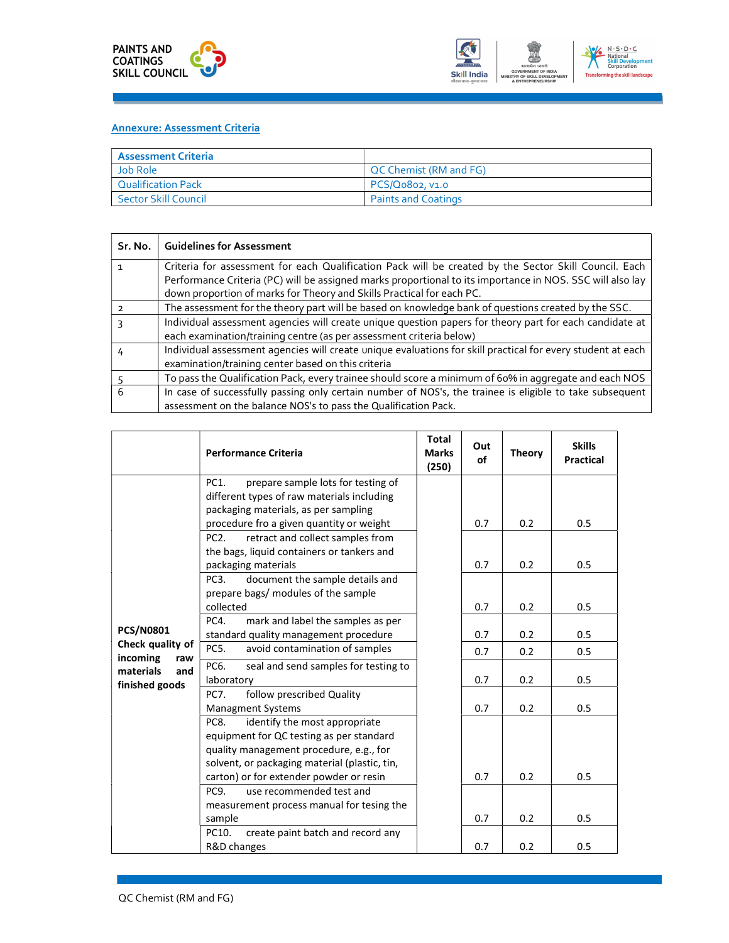

#### Annexure: Assessment Criteria

| <b>Assessment Criteria</b>  |                                     |
|-----------------------------|-------------------------------------|
| Job Role                    | <sup>1</sup> QC Chemist (RM and FG) |
| <b>Qualification Pack</b>   | PCS/Q0802, v1.0                     |
| <b>Sector Skill Council</b> | <b>Paints and Coatings</b>          |

| Sr. No. | <b>Guidelines for Assessment</b>                                                                                                                                                                                                                                                            |
|---------|---------------------------------------------------------------------------------------------------------------------------------------------------------------------------------------------------------------------------------------------------------------------------------------------|
|         | Criteria for assessment for each Qualification Pack will be created by the Sector Skill Council. Each<br>Performance Criteria (PC) will be assigned marks proportional to its importance in NOS. SSC will also lay<br>down proportion of marks for Theory and Skills Practical for each PC. |
|         | The assessment for the theory part will be based on knowledge bank of questions created by the SSC.                                                                                                                                                                                         |
|         | Individual assessment agencies will create unique question papers for theory part for each candidate at<br>each examination/training centre (as per assessment criteria below)                                                                                                              |
|         | Individual assessment agencies will create unique evaluations for skill practical for every student at each<br>examination/training center based on this criteria                                                                                                                           |
|         | To pass the Qualification Pack, every trainee should score a minimum of 60% in aggregate and each NOS                                                                                                                                                                                       |
| 6       | In case of successfully passing only certain number of NOS's, the trainee is eligible to take subsequent<br>assessment on the balance NOS's to pass the Qualification Pack.                                                                                                                 |

| PC1.<br>prepare sample lots for testing of<br>different types of raw materials including<br>packaging materials, as per sampling<br>0.5<br>procedure fro a given quantity or weight<br>0.7<br>0.2<br>PC <sub>2</sub> .<br>retract and collect samples from<br>the bags, liquid containers or tankers and<br>0.2<br>0.5<br>0.7<br>packaging materials<br>PC <sub>3</sub> .<br>document the sample details and<br>prepare bags/ modules of the sample<br>collected<br>0.5<br>0.7<br>0.2<br>PC4.<br>mark and label the samples as per<br><b>PCS/N0801</b><br>standard quality management procedure<br>0.7<br>0.2<br>0.5<br>Check quality of<br>PC5.<br>avoid contamination of samples<br>0.7<br>0.2<br>0.5<br>incoming<br>raw<br>PC6.<br>seal and send samples for testing to<br>materials<br>and<br>0.7<br>0.2<br>0.5<br>laboratory<br>finished goods<br>follow prescribed Quality<br><b>PC7.</b><br>0.7<br>0.2<br>0.5<br><b>Managment Systems</b><br>identify the most appropriate<br>PC8.<br>equipment for QC testing as per standard<br>quality management procedure, e.g., for<br>solvent, or packaging material (plastic, tin,<br>carton) or for extender powder or resin<br>0.7<br>0.2<br>0.5<br>PC9.<br>use recommended test and<br>measurement process manual for tesing the | <b>Performance Criteria</b> | <b>Total</b><br><b>Marks</b><br>(250) | Out<br>of | <b>Theory</b> | <b>Skills</b><br><b>Practical</b> |
|------------------------------------------------------------------------------------------------------------------------------------------------------------------------------------------------------------------------------------------------------------------------------------------------------------------------------------------------------------------------------------------------------------------------------------------------------------------------------------------------------------------------------------------------------------------------------------------------------------------------------------------------------------------------------------------------------------------------------------------------------------------------------------------------------------------------------------------------------------------------------------------------------------------------------------------------------------------------------------------------------------------------------------------------------------------------------------------------------------------------------------------------------------------------------------------------------------------------------------------------------------------------------------|-----------------------------|---------------------------------------|-----------|---------------|-----------------------------------|
| create paint batch and record any<br>PC10.<br>R&D changes<br>0.7<br>0.2<br>0.5                                                                                                                                                                                                                                                                                                                                                                                                                                                                                                                                                                                                                                                                                                                                                                                                                                                                                                                                                                                                                                                                                                                                                                                                     | sample                      |                                       | 0.7       | 0.2           | 0.5                               |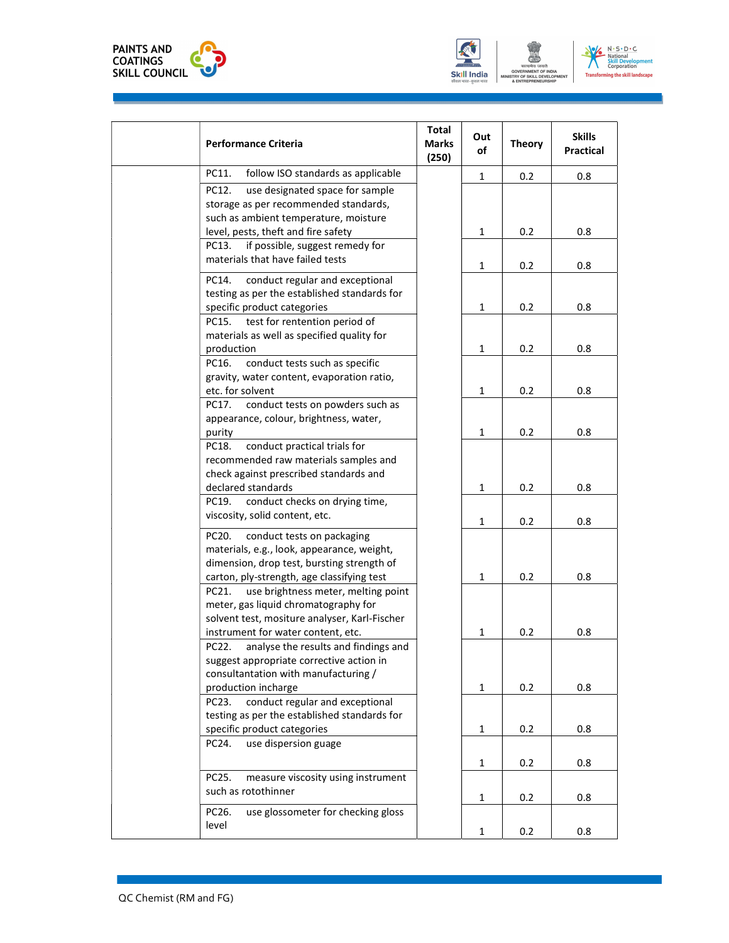





| <b>Performance Criteria</b>                                                                                                                                                   | <b>Total</b><br><b>Marks</b><br>(250) | Out<br>of    | <b>Theory</b> | <b>Skills</b><br>Practical |
|-------------------------------------------------------------------------------------------------------------------------------------------------------------------------------|---------------------------------------|--------------|---------------|----------------------------|
| PC11.<br>follow ISO standards as applicable                                                                                                                                   |                                       | $\mathbf{1}$ | 0.2           | 0.8                        |
| PC12.<br>use designated space for sample<br>storage as per recommended standards,<br>such as ambient temperature, moisture                                                    |                                       |              |               |                            |
| level, pests, theft and fire safety                                                                                                                                           |                                       | $\mathbf{1}$ | 0.2           | 0.8                        |
| if possible, suggest remedy for<br>PC13.<br>materials that have failed tests                                                                                                  |                                       | $\mathbf{1}$ | 0.2           | 0.8                        |
| conduct regular and exceptional<br>PC14.<br>testing as per the established standards for<br>specific product categories<br>test for rentention period of<br>PC15.             |                                       | $\mathbf{1}$ | 0.2           | 0.8                        |
| materials as well as specified quality for<br>production                                                                                                                      |                                       | 1            | 0.2           | 0.8                        |
| conduct tests such as specific<br>PC16.<br>gravity, water content, evaporation ratio,<br>etc. for solvent                                                                     |                                       | $\mathbf{1}$ | 0.2           | 0.8                        |
| conduct tests on powders such as<br>PC17.<br>appearance, colour, brightness, water,<br>purity                                                                                 |                                       | 1            | 0.2           | 0.8                        |
| conduct practical trials for<br>PC18.<br>recommended raw materials samples and<br>check against prescribed standards and                                                      |                                       |              |               |                            |
| declared standards                                                                                                                                                            |                                       | $\mathbf{1}$ | 0.2           | 0.8                        |
| conduct checks on drying time,<br>PC19.<br>viscosity, solid content, etc.                                                                                                     |                                       | $\mathbf 1$  | 0.2           | 0.8                        |
| PC20.<br>conduct tests on packaging<br>materials, e.g., look, appearance, weight,<br>dimension, drop test, bursting strength of<br>carton, ply-strength, age classifying test |                                       | $\mathbf{1}$ | 0.2           | 0.8                        |
| use brightness meter, melting point<br>PC21.<br>meter, gas liquid chromatography for<br>solvent test, mositure analyser, Karl-Fischer                                         |                                       |              |               |                            |
| instrument for water content, etc.<br>PC22.<br>analyse the results and findings and<br>suggest appropriate corrective action in<br>consultantation with manufacturing /       |                                       | $\mathbf{1}$ | 0.2           | 0.8                        |
| production incharge<br>conduct regular and exceptional<br>PC23.                                                                                                               |                                       | $\mathbf{1}$ | 0.2           | 0.8                        |
| testing as per the established standards for<br>specific product categories<br>use dispersion guage<br>PC24.                                                                  |                                       | $\mathbf{1}$ | 0.2           | 0.8                        |
|                                                                                                                                                                               |                                       | $\mathbf 1$  | 0.2           | 0.8                        |
| PC25.<br>measure viscosity using instrument<br>such as rotothinner                                                                                                            |                                       | $\mathbf{1}$ | 0.2           | 0.8                        |
| PC26.<br>use glossometer for checking gloss<br>level                                                                                                                          |                                       | $\mathbf 1$  | 0.2           | 0.8                        |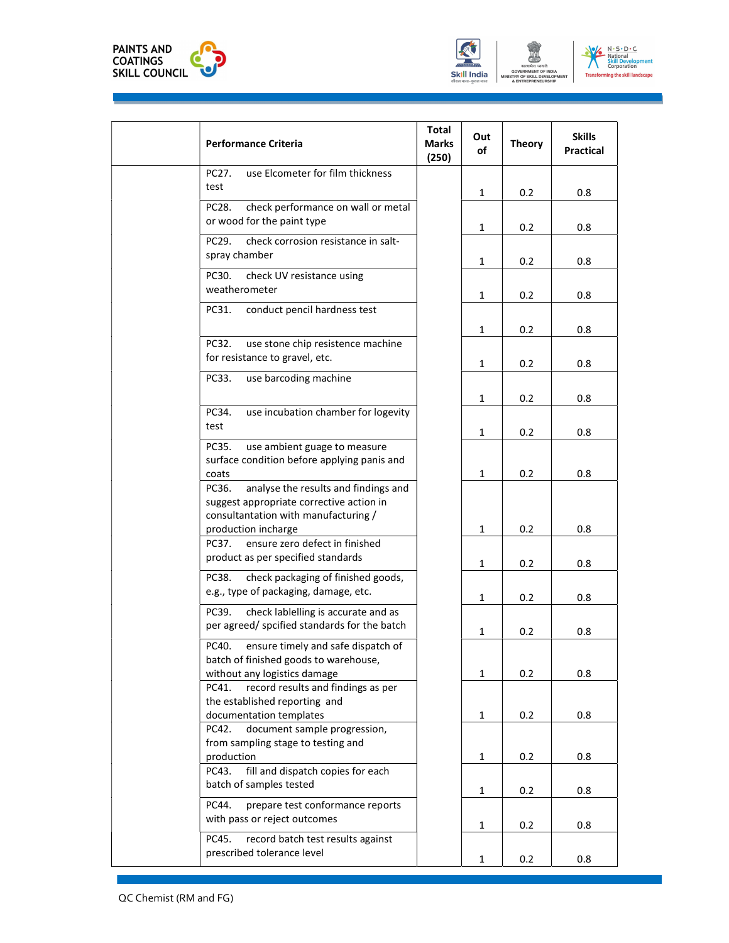





| <b>Performance Criteria</b>                                              | <b>Total</b><br><b>Marks</b><br>(250) | Out<br>of    | <b>Theory</b> | <b>Skills</b><br><b>Practical</b> |
|--------------------------------------------------------------------------|---------------------------------------|--------------|---------------|-----------------------------------|
| PC27.<br>use Elcometer for film thickness                                |                                       |              |               |                                   |
| test                                                                     |                                       | $\mathbf{1}$ | 0.2           | 0.8                               |
| PC28.<br>check performance on wall or metal                              |                                       |              |               |                                   |
| or wood for the paint type                                               |                                       | $\mathbf{1}$ | 0.2           | 0.8                               |
| check corrosion resistance in salt-<br>PC29.                             |                                       |              |               |                                   |
| spray chamber                                                            |                                       |              |               |                                   |
| PC30.<br>check UV resistance using                                       |                                       | 1            | 0.2           | 0.8                               |
| weatherometer                                                            |                                       |              |               |                                   |
|                                                                          |                                       | $\mathbf{1}$ | 0.2           | 0.8                               |
| conduct pencil hardness test<br>PC31.                                    |                                       |              |               |                                   |
|                                                                          |                                       | $\mathbf{1}$ | 0.2           | 0.8                               |
| PC32.<br>use stone chip resistence machine                               |                                       |              |               |                                   |
| for resistance to gravel, etc.                                           |                                       | 1            | 0.2           | 0.8                               |
| use barcoding machine<br>PC33.                                           |                                       |              |               |                                   |
|                                                                          |                                       | 1            | 0.2           | 0.8                               |
| PC34.<br>use incubation chamber for logevity                             |                                       |              |               |                                   |
| test                                                                     |                                       | $\mathbf{1}$ | 0.2           | 0.8                               |
| use ambient guage to measure<br>PC35.                                    |                                       |              |               |                                   |
| surface condition before applying panis and                              |                                       |              |               |                                   |
| coats                                                                    |                                       | $\mathbf{1}$ | 0.2           | 0.8                               |
| analyse the results and findings and<br>PC36.                            |                                       |              |               |                                   |
| suggest appropriate corrective action in                                 |                                       |              |               |                                   |
| consultantation with manufacturing /                                     |                                       |              |               |                                   |
| production incharge<br>PC37. ensure zero defect in finished              |                                       | 1            | 0.2           | 0.8                               |
| product as per specified standards                                       |                                       |              |               |                                   |
|                                                                          |                                       | 1            | 0.2           | 0.8                               |
| check packaging of finished goods,<br>PC38.                              |                                       |              |               |                                   |
| e.g., type of packaging, damage, etc.                                    |                                       | $\mathbf{1}$ | 0.2           | 0.8                               |
| PC39.<br>check lablelling is accurate and as                             |                                       |              |               |                                   |
| per agreed/ spcified standards for the batch                             |                                       | 1            | 0.2           | 0.8                               |
| PC40.<br>ensure timely and safe dispatch of                              |                                       |              |               |                                   |
| batch of finished goods to warehouse,                                    |                                       |              |               |                                   |
| without any logistics damage                                             |                                       | $\mathbf{1}$ | 0.2           | 0.8                               |
| record results and findings as per<br>PC41.                              |                                       |              |               |                                   |
| the established reporting and                                            |                                       |              |               |                                   |
| documentation templates<br>PC42.                                         |                                       | 1            | 0.2           | 0.8                               |
| document sample progression,<br>from sampling stage to testing and       |                                       |              |               |                                   |
| production                                                               |                                       | $\mathbf{1}$ | 0.2           | 0.8                               |
| fill and dispatch copies for each<br>PC43.                               |                                       |              |               |                                   |
| batch of samples tested                                                  |                                       | 1            | 0.2           | 0.8                               |
| prepare test conformance reports<br>PC44.                                |                                       |              |               |                                   |
| with pass or reject outcomes                                             |                                       |              |               |                                   |
|                                                                          |                                       | $\mathbf{1}$ | 0.2           | 0.8                               |
| record batch test results against<br>PC45.<br>prescribed tolerance level |                                       |              |               |                                   |
|                                                                          |                                       | $\mathbf{1}$ | 0.2           | 0.8                               |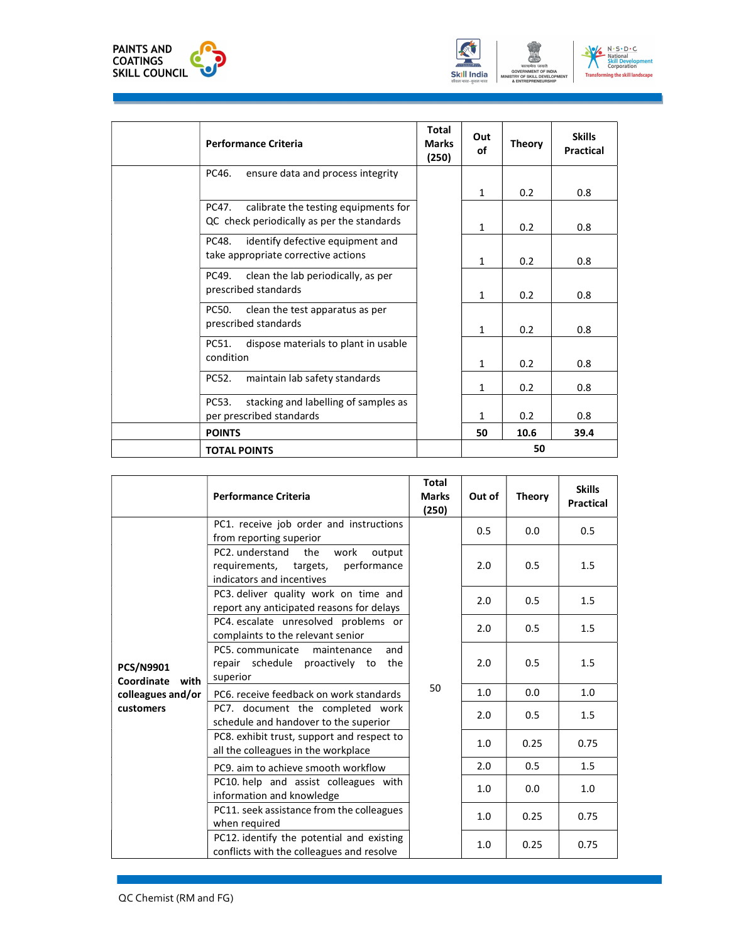



| <b>Performance Criteria</b>                   | <b>Total</b><br><b>Marks</b><br>(250) | Out<br>of    | <b>Theory</b> | <b>Skills</b><br>Practical |
|-----------------------------------------------|---------------------------------------|--------------|---------------|----------------------------|
| PC46.<br>ensure data and process integrity    |                                       |              |               |                            |
|                                               |                                       | 1            | 0.2           | 0.8                        |
| calibrate the testing equipments for<br>PC47. |                                       |              |               |                            |
| QC check periodically as per the standards    |                                       | $\mathbf{1}$ | 0.2           | 0.8                        |
| identify defective equipment and<br>PC48.     |                                       |              |               |                            |
| take appropriate corrective actions           |                                       | $\mathbf{1}$ | 0.2           | 0.8                        |
| clean the lab periodically, as per<br>PC49.   |                                       |              |               |                            |
| prescribed standards                          |                                       | 1            | 0.2           | 0.8                        |
| PC50.<br>clean the test apparatus as per      |                                       |              |               |                            |
| prescribed standards                          |                                       | $\mathbf{1}$ | 0.2           | 0.8                        |
| dispose materials to plant in usable<br>PC51. |                                       |              |               |                            |
| condition                                     |                                       | $\mathbf{1}$ | 0.2           | 0.8                        |
| PC52.<br>maintain lab safety standards        |                                       | 1            | 0.2           | 0.8                        |
| PC53.<br>stacking and labelling of samples as |                                       |              |               |                            |
| per prescribed standards                      |                                       | 1            | 0.2           | 0.8                        |
| <b>POINTS</b>                                 |                                       | 50           | 10.6          | 39.4                       |
| <b>TOTAL POINTS</b>                           |                                       |              | 50            |                            |

|                                        | <b>Performance Criteria</b>                                                                                    | <b>Total</b><br><b>Marks</b><br>(250) | Out of | <b>Theory</b> | <b>Skills</b><br><b>Practical</b> |
|----------------------------------------|----------------------------------------------------------------------------------------------------------------|---------------------------------------|--------|---------------|-----------------------------------|
|                                        | PC1. receive job order and instructions<br>from reporting superior                                             |                                       | 0.5    | 0.0           | 0.5                               |
|                                        | work<br>PC2. understand<br>output<br>the<br>performance<br>requirements, targets,<br>indicators and incentives |                                       | 2.0    | 0.5           | 1.5                               |
|                                        | PC3. deliver quality work on time and<br>report any anticipated reasons for delays                             |                                       | 2.0    | 0.5           | 1.5                               |
|                                        | PC4. escalate unresolved problems or<br>complaints to the relevant senior                                      |                                       | 2.0    | 0.5           | 1.5                               |
| <b>PCS/N9901</b><br>Coordinate<br>with | PC5. communicate<br>and<br>maintenance<br>repair schedule proactively to<br>the<br>superior                    |                                       | 2.0    | 0.5           | 1.5                               |
| colleagues and/or                      | PC6, receive feedback on work standards                                                                        | 50                                    | 1.0    | 0.0           | 1.0                               |
| customers                              | PC7. document the completed work<br>schedule and handover to the superior                                      |                                       | 2.0    | 0.5           | 1.5                               |
|                                        | PC8. exhibit trust, support and respect to<br>all the colleagues in the workplace                              |                                       | 1.0    | 0.25          | 0.75                              |
|                                        | PC9, aim to achieve smooth workflow                                                                            |                                       | 2.0    | 0.5           | 1.5                               |
|                                        | PC10. help and assist colleagues with<br>information and knowledge                                             |                                       | 1.0    | 0.0           | 1.0                               |
|                                        | PC11. seek assistance from the colleagues<br>when required                                                     |                                       | 1.0    | 0.25          | 0.75                              |
|                                        | PC12. identify the potential and existing<br>conflicts with the colleagues and resolve                         |                                       | 1.0    | 0.25          | 0.75                              |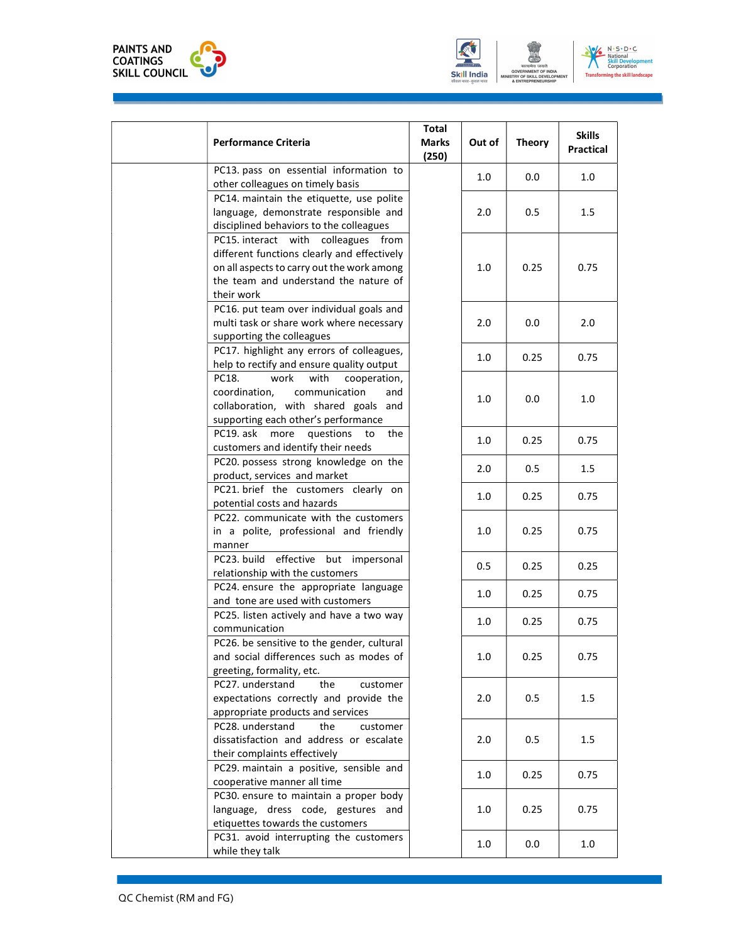



| <b>Performance Criteria</b>                                                                                                                                                             | Total<br><b>Marks</b><br>(250) | Out of | <b>Theory</b> | <b>Skills</b><br><b>Practical</b> |
|-----------------------------------------------------------------------------------------------------------------------------------------------------------------------------------------|--------------------------------|--------|---------------|-----------------------------------|
| PC13. pass on essential information to<br>other colleagues on timely basis                                                                                                              |                                | 1.0    | 0.0           | 1.0                               |
| PC14. maintain the etiquette, use polite<br>language, demonstrate responsible and<br>disciplined behaviors to the colleagues                                                            |                                | 2.0    | 0.5           | $1.5\,$                           |
| PC15. interact with colleagues from<br>different functions clearly and effectively<br>on all aspects to carry out the work among<br>the team and understand the nature of<br>their work |                                | 1.0    | 0.25          | 0.75                              |
| PC16. put team over individual goals and<br>multi task or share work where necessary<br>supporting the colleagues                                                                       |                                | 2.0    | 0.0           | 2.0                               |
| PC17. highlight any errors of colleagues,<br>help to rectify and ensure quality output                                                                                                  |                                | 1.0    | 0.25          | 0.75                              |
| with<br>PC18.<br>work<br>cooperation,<br>communication<br>coordination.<br>and<br>collaboration, with shared goals and<br>supporting each other's performance                           |                                | 1.0    | 0.0           | 1.0                               |
| PC19. ask more<br>questions<br>the<br>to<br>customers and identify their needs                                                                                                          |                                | 1.0    | 0.25          | 0.75                              |
| PC20. possess strong knowledge on the<br>product, services and market                                                                                                                   |                                | 2.0    | 0.5           | 1.5                               |
| PC21. brief the customers clearly on<br>potential costs and hazards                                                                                                                     |                                | 1.0    | 0.25          | 0.75                              |
| PC22. communicate with the customers<br>in a polite, professional and friendly<br>manner                                                                                                |                                | 1.0    | 0.25          | 0.75                              |
| PC23. build effective but impersonal<br>relationship with the customers                                                                                                                 |                                | 0.5    | 0.25          | 0.25                              |
| PC24. ensure the appropriate language<br>and tone are used with customers                                                                                                               |                                | 1.0    | 0.25          | 0.75                              |
| PC25. listen actively and have a two way<br>communication                                                                                                                               |                                | 1.0    | 0.25          | 0.75                              |
| PC26. be sensitive to the gender, cultural<br>and social differences such as modes of<br>greeting, formality, etc.                                                                      |                                | 1.0    | 0.25          | 0.75                              |
| PC27. understand<br>the<br>customer<br>expectations correctly and provide the<br>appropriate products and services                                                                      |                                | 2.0    | 0.5           | 1.5                               |
| PC28. understand<br>the<br>customer<br>dissatisfaction and address or escalate<br>their complaints effectively                                                                          |                                | 2.0    | 0.5           | 1.5                               |
| PC29. maintain a positive, sensible and<br>cooperative manner all time                                                                                                                  |                                | 1.0    | 0.25          | 0.75                              |
| PC30. ensure to maintain a proper body<br>language, dress code, gestures and<br>etiquettes towards the customers                                                                        |                                | 1.0    | 0.25          | 0.75                              |
| PC31. avoid interrupting the customers                                                                                                                                                  |                                |        |               |                                   |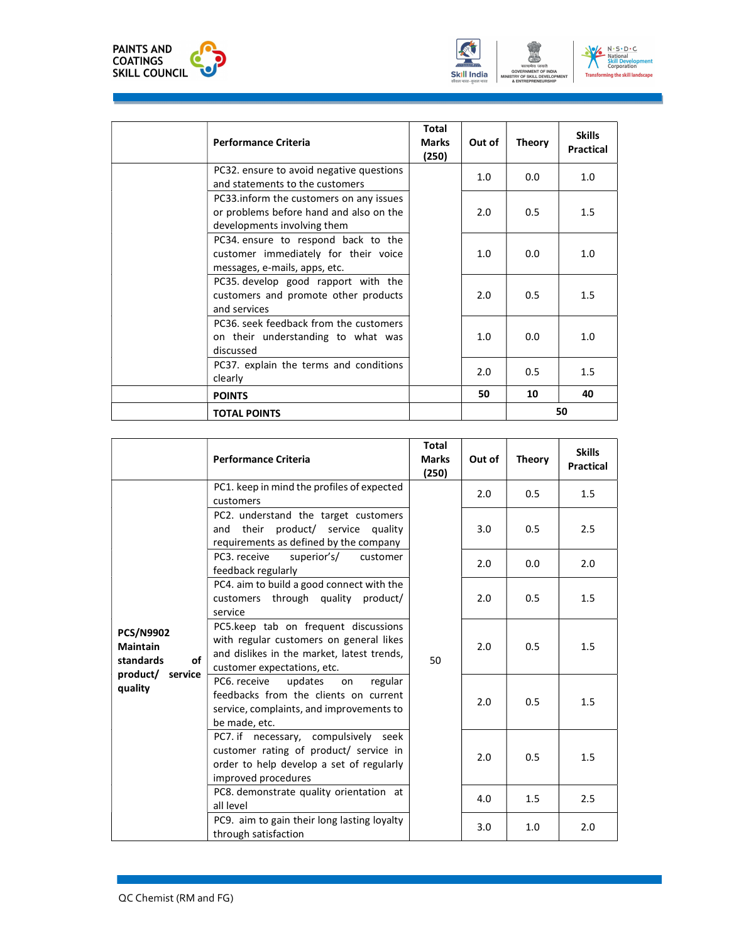



| <b>Performance Criteria</b>                                                                                       | <b>Total</b><br><b>Marks</b><br>(250) | Out of | <b>Theory</b> | <b>Skills</b><br>Practical |
|-------------------------------------------------------------------------------------------------------------------|---------------------------------------|--------|---------------|----------------------------|
| PC32. ensure to avoid negative questions<br>and statements to the customers                                       |                                       | 1.0    | 0.0           | 1.0                        |
| PC33.inform the customers on any issues<br>or problems before hand and also on the<br>developments involving them |                                       | 2.0    | 0.5           | 1.5                        |
| PC34. ensure to respond back to the<br>customer immediately for their voice<br>messages, e-mails, apps, etc.      |                                       | 1.0    | 0.0           | 1.0                        |
| PC35. develop good rapport with the<br>customers and promote other products<br>and services                       |                                       | 2.0    | 0.5           | 1.5                        |
| PC36, seek feedback from the customers<br>on their understanding to what was<br>discussed                         |                                       | 1.0    | 0.0           | 1.0                        |
| PC37. explain the terms and conditions<br>clearly                                                                 |                                       | 2.0    | 0.5           | 1.5                        |
| <b>POINTS</b>                                                                                                     |                                       | 50     | 10            | 40                         |
| <b>TOTAL POINTS</b>                                                                                               |                                       |        |               | 50                         |

|                                                                                       | <b>Performance Criteria</b>                                                                                                                                  | <b>Total</b><br><b>Marks</b><br>(250) | Out of | <b>Theory</b> | <b>Skills</b><br>Practical |
|---------------------------------------------------------------------------------------|--------------------------------------------------------------------------------------------------------------------------------------------------------------|---------------------------------------|--------|---------------|----------------------------|
|                                                                                       | PC1. keep in mind the profiles of expected<br>customers                                                                                                      | 50                                    | 2.0    | 0.5           | 1.5                        |
|                                                                                       | PC2. understand the target customers<br>and their product/ service quality<br>requirements as defined by the company                                         |                                       | 3.0    | 0.5           | 2.5                        |
|                                                                                       | PC3. receive<br>superior's/<br>customer<br>feedback regularly                                                                                                |                                       | 2.0    | 0.0           | 2.0                        |
| <b>PCS/N9902</b><br><b>Maintain</b><br>of<br>standards<br>product/ service<br>quality | PC4. aim to build a good connect with the<br>customers through quality product/<br>service                                                                   |                                       | 2.0    | 0.5           | 1.5                        |
|                                                                                       | PC5.keep tab on frequent discussions<br>with regular customers on general likes<br>and dislikes in the market, latest trends,<br>customer expectations, etc. |                                       | 2.0    | 0.5           | 1.5                        |
|                                                                                       | PC6. receive<br>updates<br>regular<br>on<br>feedbacks from the clients on current<br>service, complaints, and improvements to<br>be made, etc.               |                                       | 2.0    | 0.5           | 1.5                        |
|                                                                                       | PC7. if necessary, compulsively seek<br>customer rating of product/ service in<br>order to help develop a set of regularly<br>improved procedures            |                                       | 2.0    | 0.5           | 1.5                        |
|                                                                                       | PC8. demonstrate quality orientation at<br>all level                                                                                                         |                                       | 4.0    | 1.5           | 2.5                        |
|                                                                                       | PC9. aim to gain their long lasting loyalty<br>through satisfaction                                                                                          |                                       | 3.0    | 1.0           | 2.0                        |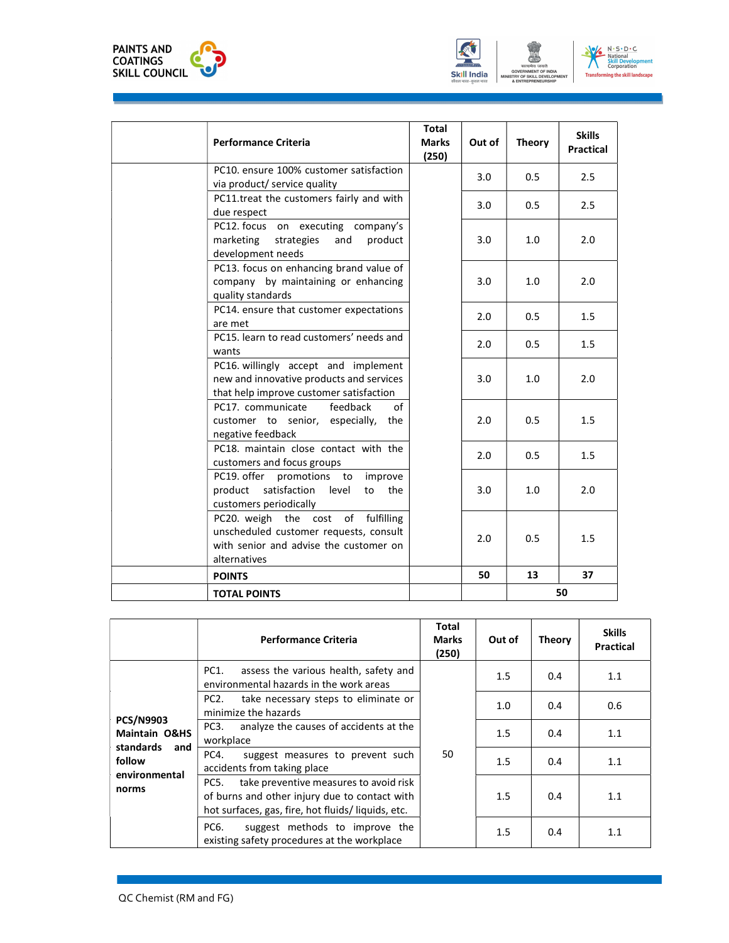



| <b>Performance Criteria</b>                                                                                                            | Total<br><b>Marks</b><br>(250) | Out of | <b>Theory</b> | <b>Skills</b><br><b>Practical</b> |
|----------------------------------------------------------------------------------------------------------------------------------------|--------------------------------|--------|---------------|-----------------------------------|
| PC10. ensure 100% customer satisfaction<br>via product/ service quality                                                                |                                | 3.0    | 0.5           | 2.5                               |
| PC11.treat the customers fairly and with<br>due respect                                                                                |                                | 3.0    | 0.5           | 2.5                               |
| PC12. focus on executing company's<br>marketing strategies<br>product<br>and<br>development needs                                      |                                | 3.0    | 1.0           | 2.0                               |
| PC13. focus on enhancing brand value of<br>company by maintaining or enhancing<br>quality standards                                    |                                | 3.0    | 1.0           | 2.0                               |
| PC14. ensure that customer expectations<br>are met                                                                                     |                                | 2.0    | 0.5           | 1.5                               |
| PC15. learn to read customers' needs and<br>wants                                                                                      |                                | 2.0    | 0.5           | 1.5                               |
| PC16. willingly accept and implement<br>new and innovative products and services<br>that help improve customer satisfaction            |                                | 3.0    | 1.0           | 2.0                               |
| feedback<br>PC17. communicate<br>customer to senior, especially, the<br>negative feedback                                              | of                             | 2.0    | 0.5           | 1.5                               |
| PC18. maintain close contact with the<br>customers and focus groups                                                                    |                                | 2.0    | 0.5           | 1.5                               |
| PC19. offer promotions to improve<br>product satisfaction level<br>to the<br>customers periodically                                    |                                | 3.0    | 1.0           | 2.0                               |
| PC20. weigh the cost of fulfilling<br>unscheduled customer requests, consult<br>with senior and advise the customer on<br>alternatives |                                | 2.0    | 0.5           | 1.5                               |
| <b>POINTS</b>                                                                                                                          |                                | 50     | 13            | 37                                |
| <b>TOTAL POINTS</b>                                                                                                                    |                                |        |               | 50                                |

|                                              | <b>Performance Criteria</b>                                                                                                                          | Total<br><b>Marks</b><br>(250) | Out of | <b>Theory</b> | <b>Skills</b><br><b>Practical</b> |
|----------------------------------------------|------------------------------------------------------------------------------------------------------------------------------------------------------|--------------------------------|--------|---------------|-----------------------------------|
| <b>PCS/N9903</b><br><b>Maintain O&amp;HS</b> | assess the various health, safety and<br>PC1.<br>environmental hazards in the work areas                                                             | 50                             | 1.5    | 0.4           | 1.1                               |
|                                              | PC <sub>2</sub> .<br>take necessary steps to eliminate or<br>minimize the hazards                                                                    |                                | 1.0    | 0.4           | 0.6                               |
|                                              | PC3.<br>analyze the causes of accidents at the<br>workplace                                                                                          |                                | 1.5    | 0.4           | 1.1                               |
| standards<br>and<br>follow<br>environmental  | PC4.<br>suggest measures to prevent such<br>accidents from taking place                                                                              |                                | 1.5    | 0.4           | 1.1                               |
| norms                                        | take preventive measures to avoid risk<br>PC5.<br>of burns and other injury due to contact with<br>hot surfaces, gas, fire, hot fluids/liquids, etc. |                                | 1.5    | 0.4           | 1.1                               |
|                                              | suggest methods to improve the<br>PC6.<br>existing safety procedures at the workplace                                                                |                                | 1.5    | 0.4           | 1.1                               |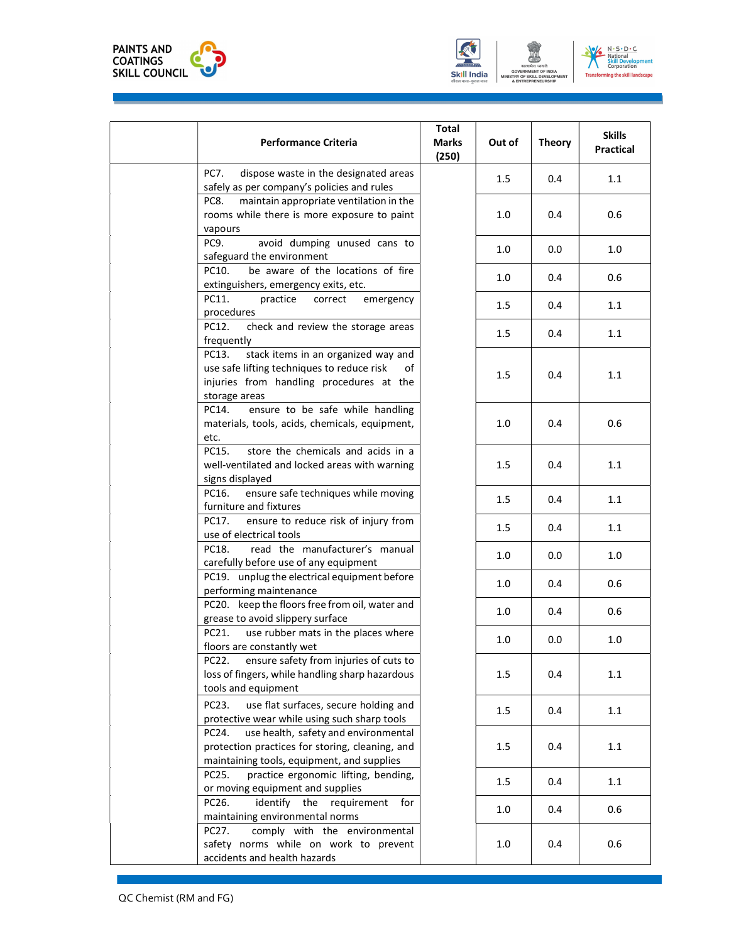





| <b>Performance Criteria</b>                                                                                                                                   | <b>Total</b><br><b>Marks</b><br>(250) | Out of | <b>Theory</b> | <b>Skills</b><br><b>Practical</b> |
|---------------------------------------------------------------------------------------------------------------------------------------------------------------|---------------------------------------|--------|---------------|-----------------------------------|
| <b>PC7.</b><br>dispose waste in the designated areas<br>safely as per company's policies and rules                                                            |                                       | 1.5    | 0.4           | 1.1                               |
| maintain appropriate ventilation in the<br>PC8.<br>rooms while there is more exposure to paint<br>vapours                                                     |                                       | 1.0    | 0.4           | 0.6                               |
| PC9.<br>avoid dumping unused cans to<br>safeguard the environment                                                                                             |                                       | 1.0    | 0.0           | 1.0                               |
| be aware of the locations of fire<br>PC10.<br>extinguishers, emergency exits, etc.                                                                            |                                       | 1.0    | 0.4           | 0.6                               |
| PC11.<br>practice<br>correct<br>emergency<br>procedures                                                                                                       |                                       | 1.5    | 0.4           | 1.1                               |
| PC12.<br>check and review the storage areas<br>frequently                                                                                                     |                                       | 1.5    | 0.4           | 1.1                               |
| PC13.<br>stack items in an organized way and<br>use safe lifting techniques to reduce risk<br>of<br>injuries from handling procedures at the<br>storage areas |                                       | 1.5    | 0.4           | 1.1                               |
| ensure to be safe while handling<br>PC14.<br>materials, tools, acids, chemicals, equipment,<br>etc.                                                           |                                       | 1.0    | 0.4           | 0.6                               |
| store the chemicals and acids in a<br>PC15.<br>well-ventilated and locked areas with warning<br>signs displayed                                               |                                       | 1.5    | 0.4           | 1.1                               |
| ensure safe techniques while moving<br>PC16.<br>furniture and fixtures                                                                                        |                                       | 1.5    | 0.4           | 1.1                               |
| ensure to reduce risk of injury from<br>PC17.<br>use of electrical tools                                                                                      |                                       | 1.5    | 0.4           | 1.1                               |
| read the manufacturer's manual<br>PC18.<br>carefully before use of any equipment                                                                              |                                       | 1.0    | 0.0           | 1.0                               |
| PC19. unplug the electrical equipment before<br>performing maintenance                                                                                        |                                       | 1.0    | 0.4           | 0.6                               |
| PC20. keep the floors free from oil, water and<br>grease to avoid slippery surface                                                                            |                                       | 1.0    | 0.4           | 0.6                               |
| use rubber mats in the places where<br>PC21.<br>floors are constantly wet                                                                                     |                                       | 1.0    | 0.0           | 1.0                               |
| ensure safety from injuries of cuts to<br>PC22.<br>loss of fingers, while handling sharp hazardous<br>tools and equipment                                     |                                       | 1.5    | 0.4           | 1.1                               |
| use flat surfaces, secure holding and<br>PC23.<br>protective wear while using such sharp tools                                                                |                                       | 1.5    | 0.4           | 1.1                               |
| use health, safety and environmental<br>PC24.<br>protection practices for storing, cleaning, and<br>maintaining tools, equipment, and supplies                |                                       | 1.5    | 0.4           | 1.1                               |
| practice ergonomic lifting, bending,<br>PC25.<br>or moving equipment and supplies                                                                             |                                       | 1.5    | 0.4           | 1.1                               |
| PC26.<br>identify the requirement for<br>maintaining environmental norms                                                                                      |                                       | 1.0    | 0.4           | 0.6                               |
| comply with the environmental<br>PC27.<br>safety norms while on work to prevent<br>accidents and health hazards                                               |                                       | 1.0    | 0.4           | 0.6                               |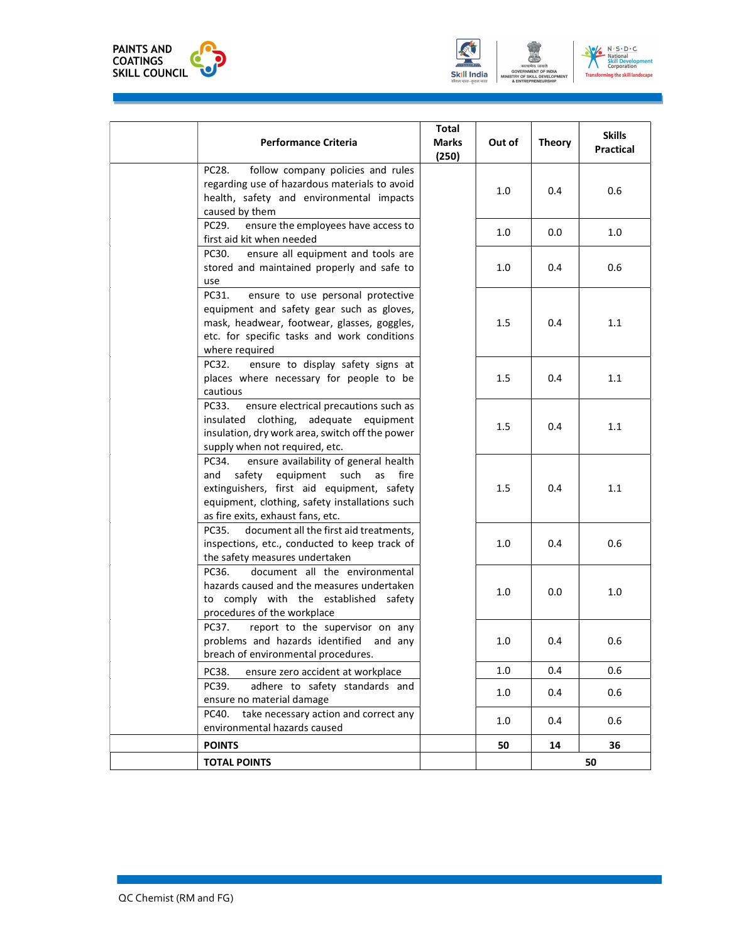





| <b>Performance Criteria</b>                                                                                                                                                                                                 | <b>Total</b><br><b>Marks</b><br>(250) | Out of  | <b>Theory</b> | <b>Skills</b><br>Practical |  |
|-----------------------------------------------------------------------------------------------------------------------------------------------------------------------------------------------------------------------------|---------------------------------------|---------|---------------|----------------------------|--|
| follow company policies and rules<br>PC28.<br>regarding use of hazardous materials to avoid<br>health, safety and environmental impacts<br>caused by them                                                                   |                                       | 1.0     | 0.4           | 0.6                        |  |
| PC29.<br>ensure the employees have access to<br>first aid kit when needed                                                                                                                                                   |                                       | 1.0     | 0.0           | 1.0                        |  |
| ensure all equipment and tools are<br>PC30.<br>stored and maintained properly and safe to<br>use                                                                                                                            |                                       | 1.0     | 0.4           | 0.6                        |  |
| PC31.<br>ensure to use personal protective<br>equipment and safety gear such as gloves,<br>mask, headwear, footwear, glasses, goggles,<br>etc. for specific tasks and work conditions<br>where required                     |                                       | 1.5     | 0.4           | 1.1                        |  |
| ensure to display safety signs at<br>PC32.<br>places where necessary for people to be<br>cautious                                                                                                                           |                                       | 1.5     | 0.4           | 1.1                        |  |
| PC33.<br>ensure electrical precautions such as<br>insulated clothing, adequate equipment<br>insulation, dry work area, switch off the power<br>supply when not required, etc.                                               |                                       | 1.5     | 0.4           | 1.1                        |  |
| PC34.<br>ensure availability of general health<br>safety equipment such as fire<br>and<br>extinguishers, first aid equipment, safety<br>equipment, clothing, safety installations such<br>as fire exits, exhaust fans, etc. |                                       | $1.5\,$ | 0.4           | 1.1                        |  |
| document all the first aid treatments,<br>PC35.<br>inspections, etc., conducted to keep track of<br>the safety measures undertaken                                                                                          |                                       | 1.0     | 0.4           | 0.6                        |  |
| document all the environmental<br>PC36.<br>hazards caused and the measures undertaken<br>to comply with the established safety<br>procedures of the workplace                                                               |                                       | 1.0     | 0.0           | 1.0                        |  |
| PC37.<br>report to the supervisor on any<br>problems and hazards identified and any<br>breach of environmental procedures.                                                                                                  |                                       | 1.0     | 0.4           | 0.6                        |  |
| PC38.<br>ensure zero accident at workplace                                                                                                                                                                                  |                                       | 1.0     | 0.4           | 0.6                        |  |
| PC39.<br>adhere to safety standards and<br>ensure no material damage                                                                                                                                                        |                                       | 1.0     | 0.4           | 0.6                        |  |
| take necessary action and correct any<br>PC40.<br>environmental hazards caused                                                                                                                                              |                                       | 1.0     | 0.4           | 0.6                        |  |
| <b>POINTS</b>                                                                                                                                                                                                               |                                       | 50      | 14            | 36                         |  |
| <b>TOTAL POINTS</b>                                                                                                                                                                                                         |                                       |         |               | 50                         |  |